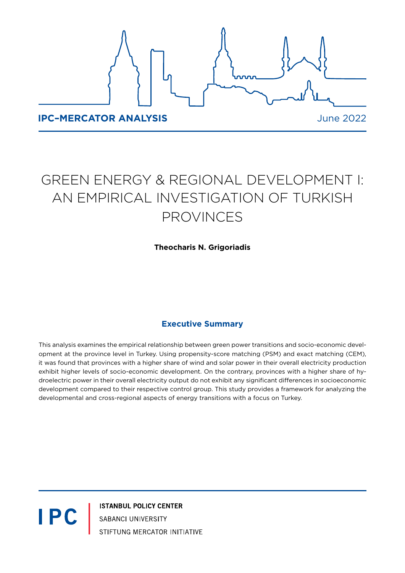

# GREEN ENERGY & REGIONAL DEVELOPMENT I: AN EMPIRICAL INVESTIGATION OF TURKISH PROVINCES

## **Theocharis N. Grigoriadis**

# **Executive Summary**

This analysis examines the empirical relationship between green power transitions and socio-economic development at the province level in Turkey. Using propensity-score matching (PSM) and exact matching (CEM), it was found that provinces with a higher share of wind and solar power in their overall electricity production exhibit higher levels of socio-economic development. On the contrary, provinces with a higher share of hydroelectric power in their overall electricity output do not exhibit any significant differences in socioeconomic development compared to their respective control group. This study provides a framework for analyzing the developmental and cross-regional aspects of energy transitions with a focus on Turkey.

**IPC** 

**ISTANBUL POLICY CENTER** SABANCI UNIVERSITY STIFTUNG MERCATOR INITIATIVE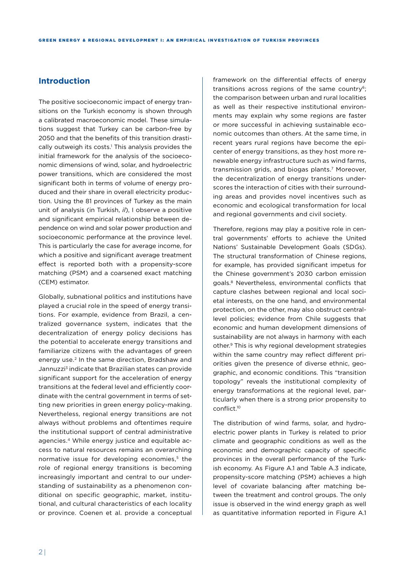### **Introduction**

The positive socioeconomic impact of energy transitions on the Turkish economy is shown through a calibrated macroeconomic model. These simulations suggest that Turkey can be carbon-free by 2050 and that the benefits of this transition drastically outweigh its costs.1 This analysis provides the initial framework for the analysis of the socioeconomic dimensions of wind, solar, and hydroelectric power transitions, which are considered the most significant both in terms of volume of energy produced and their share in overall electricity production. Using the 81 provinces of Turkey as the main unit of analysis (in Turkish, *il*), I observe a positive and significant empirical relationship between dependence on wind and solar power production and socioeconomic performance at the province level. This is particularly the case for average income, for which a positive and significant average treatment effect is reported both with a propensity-score matching (PSM) and a coarsened exact matching (CEM) estimator.

Globally, subnational politics and institutions have played a crucial role in the speed of energy transitions. For example, evidence from Brazil, a centralized governance system, indicates that the decentralization of energy policy decisions has the potential to accelerate energy transitions and familiarize citizens with the advantages of green energy use.2 In the same direction, Bradshaw and Jannuzzi<sup>3</sup> indicate that Brazilian states can provide significant support for the acceleration of energy transitions at the federal level and efficiently coordinate with the central government in terms of setting new priorities in green energy policy-making. Nevertheless, regional energy transitions are not always without problems and oftentimes require the institutional support of central administrative agencies.4 While energy justice and equitable access to natural resources remains an overarching normative issue for developing economies,<sup>5</sup> the role of regional energy transitions is becoming increasingly important and central to our understanding of sustainability as a phenomenon conditional on specific geographic, market, institutional, and cultural characteristics of each locality or province. Coenen et al. provide a conceptual

framework on the differential effects of energy transitions across regions of the same country<sup>6</sup>; the comparison between urban and rural localities as well as their respective institutional environments may explain why some regions are faster or more successful in achieving sustainable economic outcomes than others. At the same time, in recent years rural regions have become the epicenter of energy transitions, as they host more renewable energy infrastructure such as wind farms, transmission grids, and biogas plants.7 Moreover, the decentralization of energy transitions underscores the interaction of cities with their surrounding areas and provides novel incentives such as economic and ecological transformation for local and regional governments and civil society.

Therefore, regions may play a positive role in central governments' efforts to achieve the United Nations' Sustainable Development Goals (SDGs). The structural transformation of Chinese regions, for example, has provided significant impetus for the Chinese government's 2030 carbon emission goals.8 Nevertheless, environmental conflicts that capture clashes between regional and local societal interests, on the one hand, and environmental protection, on the other, may also obstruct centrallevel policies; evidence from Chile suggests that economic and human development dimensions of sustainability are not always in harmony with each other.9 This is why regional development strategies within the same country may reflect different priorities given the presence of diverse ethnic, geographic, and economic conditions. This "transition topology" reveals the institutional complexity of energy transformations at the regional level, particularly when there is a strong prior propensity to conflict.10

The distribution of wind farms, solar, and hydroelectric power plants in Turkey is related to prior climate and geographic conditions as well as the economic and demographic capacity of specific provinces in the overall performance of the Turkish economy. As Figure A.1 and Table A.3 indicate, propensity-score matching (PSM) achieves a high level of covariate balancing after matching between the treatment and control groups. The only issue is observed in the wind energy graph as well as quantitative information reported in Figure A.1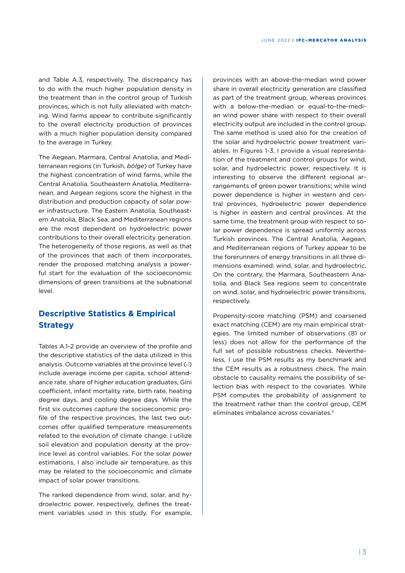and Table A.3, respectively. The discrepancy has to do with the much higher population density in the treatment than in the control group of Turkish provinces, which is not fully alleviated with matching. Wind farms appear to contribute significantly to the overall electricity production of provinces with a much higher population density compared to the average in Turkey.

The Aegean, Marmara, Central Anatolia, and Mediterranean regions (in Turkish, *bölge*) of Turkey have the highest concentration of wind farms, while the Central Anatolia, Southeastern Anatolia, Mediterranean, and Aegean regions score the highest in the distribution and production capacity of solar power infrastructure. The Eastern Anatolia, Southeastern Anatolia, Black Sea, and Mediterranean regions are the most dependent on hydroelectric power contributions to their overall electricity generation. The heterogeneity of those regions, as well as that of the provinces that each of them incorporates, render the proposed matching analysis a powerful start for the evaluation of the socioeconomic dimensions of green transitions at the subnational level.

# **Descriptive Statistics & Empirical Strategy**

Tables A.1-2 provide an overview of the profile and the descriptive statistics of the data utilized in this analysis. Outcome variables at the province level (*il*) include average income per capita, school attendance rate, share of higher education graduates, Gini coefficient, infant mortality rate, birth rate, heating degree days, and cooling degree days. While the first six outcomes capture the socioeconomic profile of the respective provinces, the last two outcomes offer qualified temperature measurements related to the evolution of climate change. I utilize soil elevation and population density at the province level as control variables. For the solar power estimations, I also include air temperature, as this may be related to the socioeconomic and climate impact of solar power transitions.

The ranked dependence from wind, solar, and hydroelectric power, respectively, defines the treatment variables used in this study. For example,

provinces with an above-the-median wind power share in overall electricity generation are classified as part of the treatment group, whereas provinces with a below-the-median or equal-to-the-median wind power share with respect to their overall electricity output are included in the control group. The same method is used also for the creation of the solar and hydroelectric power treatment variables. In Figures 1-3, I provide a visual representation of the treatment and control groups for wind, solar, and hydroelectric power, respectively. It is interesting to observe the different regional arrangements of green power transitions; while wind power dependence is higher in western and central provinces, hydroelectric power dependence is higher in eastern and central provinces. At the same time, the treatment group with respect to solar power dependence is spread uniformly across Turkish provinces. The Central Anatolia, Aegean, and Mediterranean regions of Turkey appear to be the forerunners of energy transitions in all three dimensions examined: wind, solar, and hydroelectric. On the contrary, the Marmara, Southeastern Anatolia, and Black Sea regions seem to concentrate on wind, solar, and hydroelectric power transitions, respectively.

Propensity-score matching (PSM) and coarsened exact matching (CEM) are my main empirical strategies. The limited number of observations (81 or less) does not allow for the performance of the full set of possible robustness checks. Nevertheless, I use the PSM results as my benchmark and the CEM results as a robustness check. The main obstacle to causality remains the possibility of selection bias with respect to the covariates. While PSM computes the probability of assignment to the treatment rather than the control group, CEM eliminates imbalance across covariates.11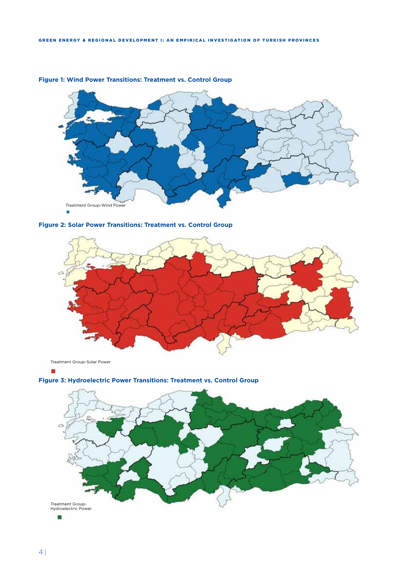

### **Figure 1: Wind Power Transitions: Treatment vs. Control Group**





**Figure 3: Hydroelectric Power Transitions: Treatment vs. Control Group**

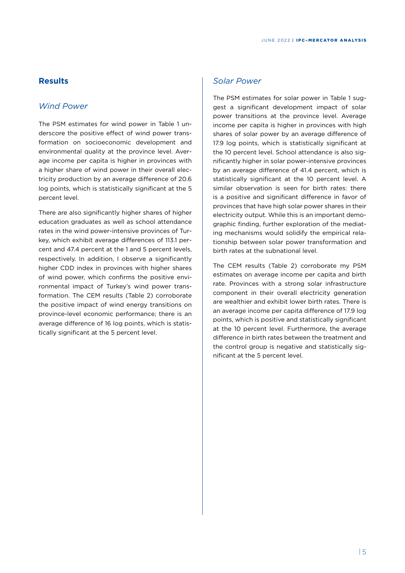## **Results**

### *Wind Power*

The PSM estimates for wind power in Table 1 underscore the positive effect of wind power transformation on socioeconomic development and environmental quality at the province level. Average income per capita is higher in provinces with a higher share of wind power in their overall electricity production by an average difference of 20.6 log points, which is statistically significant at the 5 percent level.

There are also significantly higher shares of higher education graduates as well as school attendance rates in the wind power-intensive provinces of Turkey, which exhibit average differences of 113.1 percent and 47.4 percent at the 1 and 5 percent levels, respectively. In addition, I observe a significantly higher CDD index in provinces with higher shares of wind power, which confirms the positive environmental impact of Turkey's wind power transformation. The CEM results (Table 2) corroborate the positive impact of wind energy transitions on province-level economic performance; there is an average difference of 16 log points, which is statistically significant at the 5 percent level.

### *Solar Power*

The PSM estimates for solar power in Table 1 suggest a significant development impact of solar power transitions at the province level. Average income per capita is higher in provinces with high shares of solar power by an average difference of 17.9 log points, which is statistically significant at the 10 percent level. School attendance is also significantly higher in solar power-intensive provinces by an average difference of 41.4 percent, which is statistically significant at the 10 percent level. A similar observation is seen for birth rates: there is a positive and significant difference in favor of provinces that have high solar power shares in their electricity output. While this is an important demographic finding, further exploration of the mediating mechanisms would solidify the empirical relationship between solar power transformation and birth rates at the subnational level.

The CEM results (Table 2) corroborate my PSM estimates on average income per capita and birth rate. Provinces with a strong solar infrastructure component in their overall electricity generation are wealthier and exhibit lower birth rates. There is an average income per capita difference of 17.9 log points, which is positive and statistically significant at the 10 percent level. Furthermore, the average difference in birth rates between the treatment and the control group is negative and statistically significant at the 5 percent level.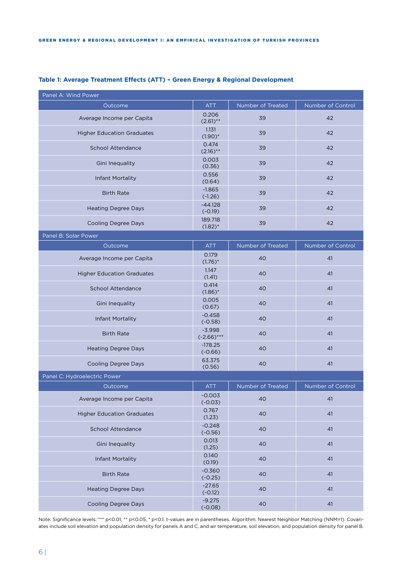| Panel A: Wind Power               |                           |                   |                   |  |
|-----------------------------------|---------------------------|-------------------|-------------------|--|
| Outcome                           | <b>ATT</b>                | Number of Treated | Number of Control |  |
| Average Income per Capita         | 0.206<br>$(2.61)$ **      | 39                | 42                |  |
| <b>Higher Education Graduates</b> | 1.131<br>$(1.90)$ *       | 39                | 42                |  |
| <b>School Attendance</b>          | 0.474<br>$(2.16)$ **      | 39                | 42                |  |
| Gini Inequality                   | 0.003<br>(0.36)           | 39                | 42                |  |
| Infant Mortality                  | 0.556<br>(0.64)           | 39                | 42                |  |
| <b>Birth Rate</b>                 | $-1.865$<br>$(-1.26)$     | 39                | 42                |  |
| <b>Heating Degree Days</b>        | -44.128<br>$(-0.19)$      | 39                | 42                |  |
| <b>Cooling Degree Days</b>        | 189.718<br>$(1.82)^*$     | 39                | 42                |  |
| Panel B: Solar Power              |                           |                   |                   |  |
| Outcome                           | <b>ATT</b>                | Number of Treated | Number of Control |  |
| Average Income per Capita         | 0.179<br>$(1.76)^*$       | 40                | 41                |  |
| <b>Higher Education Graduates</b> | 1.147<br>(1.41)           | 40                | 41                |  |
| <b>School Attendance</b>          | 0.414<br>$(1.86)^*$       | 40                | 41                |  |
| Gini Inequality                   | 0.005<br>(0.67)           | 40                | 41                |  |
| Infant Mortality                  | $-0.458$<br>$(-0.58)$     | 40                | 41                |  |
| <b>Birth Rate</b>                 | $-3.998$<br>$(-2.66)$ *** | 40                | 41                |  |
| <b>Heating Degree Days</b>        | $-178.25$<br>$(-0.66)$    | 40                | 41                |  |
| <b>Cooling Degree Days</b>        | 63.375<br>(0.56)          | 40                | 41                |  |
| Panel C: Hydroelectric Power      |                           |                   |                   |  |
| Outcome                           | <b>ATT</b>                | Number of Treated | Number of Control |  |
| Average Income per Capita         | $-0.003$<br>$(-0.03)$     | 40                | 41                |  |
| <b>Higher Education Graduates</b> | 0.767<br>(1.23)           | 40                | 41                |  |
| School Attendance                 | $-0.248$<br>$(-0.56)$     | 40                | 41                |  |
| Gini Inequality                   | 0.013<br>(1.25)           | 40                | 41                |  |
| <b>Infant Mortality</b>           | 0.140<br>(0.19)           | 40                | 41                |  |
| <b>Birth Rate</b>                 | $-0.360$<br>$(-0.25)$     | 40                | 41                |  |
| <b>Heating Degree Days</b>        | $-27.65$<br>$(-0.12)$     | 40                | 41                |  |
| <b>Cooling Degree Days</b>        | $-9.275$<br>$(-0.08)$     | 40                | 41                |  |

### **Table 1: Average Treatment Effects (ATT) – Green Energy & Regional Development**

Note: Significance levels: \*\*\* p<0.01, \*\* p<0.05, \* p<0.1. t-values are in parentheses. Algorithm: Nearest Neighbor Matching (NNM=1). Covariates include soil elevation and population density for panels A and C, and air temperature, soil elevation, and population density for panel B.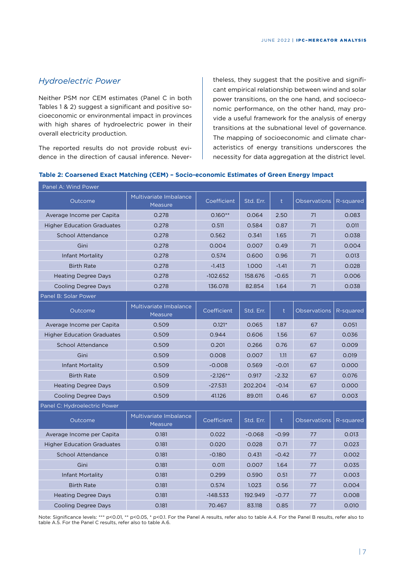# *Hydroelectric Power*

Neither PSM nor CEM estimates (Panel C in both Tables 1 & 2) suggest a significant and positive socioeconomic or environmental impact in provinces with high shares of hydroelectric power in their overall electricity production.

The reported results do not provide robust evidence in the direction of causal inference. Nevertheless, they suggest that the positive and significant empirical relationship between wind and solar power transitions, on the one hand, and socioeconomic performance, on the other hand, may provide a useful framework for the analysis of energy transitions at the subnational level of governance. The mapping of socioeconomic and climate characteristics of energy transitions underscores the necessity for data aggregation at the district level.

### **Table 2: Coarsened Exact Matching (CEM) – Socio-economic Estimates of Green Energy Impact**

| Panel A: Wind Power               |                                          |             |           |              |                     |           |
|-----------------------------------|------------------------------------------|-------------|-----------|--------------|---------------------|-----------|
| Outcome                           | Multivariate Imbalance<br><b>Measure</b> | Coefficient | Std. Err. | t            | <b>Observations</b> | R-squared |
| Average Income per Capita         | 0.278                                    | $0.160**$   | 0.064     | 2.50         | 71                  | 0.083     |
| <b>Higher Education Graduates</b> | 0.278                                    | 0.511       | 0.584     | 0.87         | 71                  | 0.011     |
| <b>School Attendance</b>          | 0.278                                    | 0.562       | 0.341     | 1.65         | 71                  | 0.038     |
| Gini                              | 0.278                                    | 0.004       | 0.007     | 0.49         | 71                  | 0.004     |
| Infant Mortality                  | 0.278                                    | 0.574       | 0.600     | 0.96         | 71                  | 0.013     |
| <b>Birth Rate</b>                 | 0.278                                    | $-1.413$    | 1.000     | $-1.41$      | 71                  | 0.028     |
| <b>Heating Degree Days</b>        | 0.278                                    | $-102.652$  | 158.676   | $-0.65$      | 71                  | 0.006     |
| <b>Cooling Degree Days</b>        | 0.278                                    | 136.078     | 82.854    | 1.64         | 71                  | 0.038     |
| Panel B: Solar Power              |                                          |             |           |              |                     |           |
| Outcome                           | Multivariate Imbalance<br><b>Measure</b> | Coefficient | Std. Err. | t            | <b>Observations</b> | R-squared |
| Average Income per Capita         | 0.509                                    | $0.121*$    | 0.065     | 1.87         | 67                  | 0.051     |
| <b>Higher Education Graduates</b> | 0.509                                    | 0.944       | 0.606     | 1.56         | 67                  | 0.036     |
| <b>School Attendance</b>          | 0.509                                    | 0.201       | 0.266     | 0.76         | 67                  | 0.009     |
| Gini                              | 0.509                                    | 0.008       | 0.007     | 1.11         | 67                  | 0.019     |
| Infant Mortality                  | 0.509                                    | $-0.008$    | 0.569     | $-0.01$      | 67                  | 0.000     |
| <b>Birth Rate</b>                 | 0.509                                    | $-2.126**$  | 0.917     | $-2.32$      | 67                  | 0.076     |
| <b>Heating Degree Days</b>        | 0.509                                    | $-27.531$   | 202.204   | $-0.14$      | 67                  | 0.000     |
| <b>Cooling Degree Days</b>        | 0.509                                    | 41.126      | 89.011    | 0.46         | 67                  | 0.003     |
| Panel C: Hydroelectric Power      |                                          |             |           |              |                     |           |
| Outcome                           | Multivariate Imbalance<br>Measure        | Coefficient | Std. Err. | $\mathsf{t}$ | <b>Observations</b> | R-squared |
| Average Income per Capita         | 0.181                                    | 0.022       | $-0.068$  | $-0.99$      | 77                  | 0.013     |
| <b>Higher Education Graduates</b> | 0.181                                    | 0.020       | 0.028     | 0.71         | 77                  | 0.023     |
| <b>School Attendance</b>          | 0.181                                    | $-0.180$    | 0.431     | $-0.42$      | 77                  | 0.002     |
| Gini                              | 0.181                                    | 0.011       | 0.007     | 1.64         | 77                  | 0.035     |
| <b>Infant Mortality</b>           | 0.181                                    | 0.299       | 0.590     | 0.51         | 77                  | 0.003     |
| <b>Birth Rate</b>                 | 0.181                                    | 0.574       | 1.023     | 0.56         | 77                  | 0.004     |
| <b>Heating Degree Days</b>        | 0.181                                    | $-148.533$  | 192.949   | $-0.77$      | 77                  | 0.008     |
| <b>Cooling Degree Days</b>        | 0.181                                    | 70.467      | 83.118    | 0.85         | 77                  | 0.010     |

Note: Significance levels: \*\*\* p<0.01, \*\* p<0.05, \* p<0.1. For the Panel A results, refer also to table A.4. For the Panel B results, refer also to table A.5. For the Panel C results, refer also to table A.6.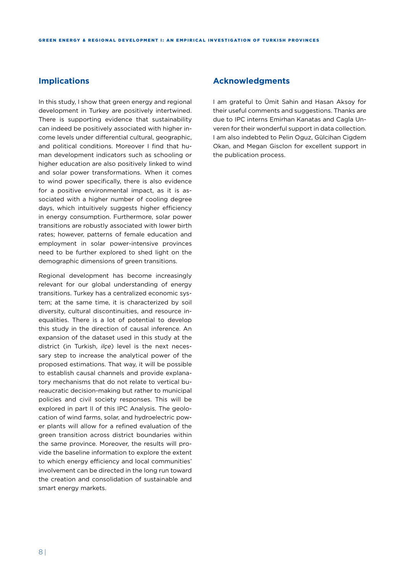### **Implications**

In this study, I show that green energy and regional development in Turkey are positively intertwined. There is supporting evidence that sustainability can indeed be positively associated with higher income levels under differential cultural, geographic, and political conditions. Moreover I find that human development indicators such as schooling or higher education are also positively linked to wind and solar power transformations. When it comes to wind power specifically, there is also evidence for a positive environmental impact, as it is associated with a higher number of cooling degree days, which intuitively suggests higher efficiency in energy consumption. Furthermore, solar power transitions are robustly associated with lower birth rates; however, patterns of female education and employment in solar power-intensive provinces need to be further explored to shed light on the demographic dimensions of green transitions.

Regional development has become increasingly relevant for our global understanding of energy transitions. Turkey has a centralized economic system; at the same time, it is characterized by soil diversity, cultural discontinuities, and resource inequalities. There is a lot of potential to develop this study in the direction of causal inference. An expansion of the dataset used in this study at the district (in Turkish, *ilçe*) level is the next necessary step to increase the analytical power of the proposed estimations. That way, it will be possible to establish causal channels and provide explanatory mechanisms that do not relate to vertical bureaucratic decision-making but rather to municipal policies and civil society responses. This will be explored in part II of this IPC Analysis. The geolocation of wind farms, solar, and hydroelectric power plants will allow for a refined evaluation of the green transition across district boundaries within the same province. Moreover, the results will provide the baseline information to explore the extent to which energy efficiency and local communities' involvement can be directed in the long run toward the creation and consolidation of sustainable and smart energy markets.

### **Acknowledgments**

I am grateful to Ümit Sahin and Hasan Aksoy for their useful comments and suggestions. Thanks are due to IPC interns Emirhan Kanatas and Cagla Unveren for their wonderful support in data collection. I am also indebted to Pelin Oguz, Gülcihan Cigdem Okan, and Megan Gisclon for excellent support in the publication process.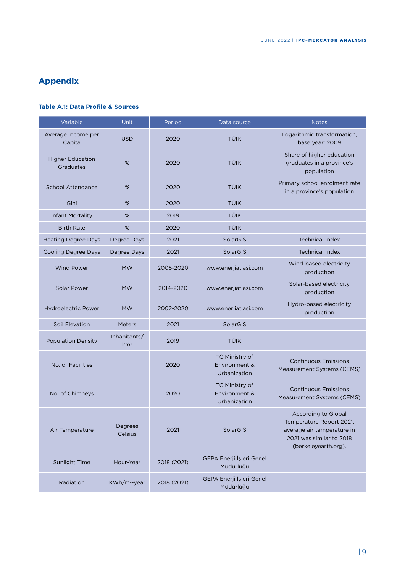# **Appendix**

### **Table A.1: Data Profile & Sources**

| Variable                             | <b>Unit</b>                     | Period      | Data source                                     | <b>Notes</b>                                                                                                                             |
|--------------------------------------|---------------------------------|-------------|-------------------------------------------------|------------------------------------------------------------------------------------------------------------------------------------------|
| Average Income per<br>Capita         | <b>USD</b>                      | 2020        | <b>TÜIK</b>                                     | Logarithmic transformation,<br>base year: 2009                                                                                           |
| <b>Higher Education</b><br>Graduates | %                               | 2020        | TÜIK                                            | Share of higher education<br>graduates in a province's<br>population                                                                     |
| <b>School Attendance</b>             | %                               | 2020        | <b>TÜIK</b>                                     | Primary school enrolment rate<br>in a province's population                                                                              |
| Gini                                 | %                               | 2020        | <b>TÜIK</b>                                     |                                                                                                                                          |
| Infant Mortality                     | %                               | 2019        | <b>TÜIK</b>                                     |                                                                                                                                          |
| <b>Birth Rate</b>                    | %                               | 2020        | TÜIK                                            |                                                                                                                                          |
| <b>Heating Degree Days</b>           | Degree Days                     | 2021        | SolarGIS                                        | <b>Technical Index</b>                                                                                                                   |
| <b>Cooling Degree Days</b>           | Degree Days                     | 2021        | SolarGIS                                        | <b>Technical Index</b>                                                                                                                   |
| <b>Wind Power</b>                    | <b>MW</b>                       | 2005-2020   | www.enerjiatlasi.com                            | Wind-based electricity<br>production                                                                                                     |
| <b>Solar Power</b>                   | <b>MW</b>                       | 2014-2020   | www.enerjiatlasi.com                            | Solar-based electricity<br>production                                                                                                    |
| <b>Hydroelectric Power</b>           | <b>MW</b>                       | 2002-2020   | www.enerjiatlasi.com                            | Hydro-based electricity<br>production                                                                                                    |
| Soil Elevation                       | <b>Meters</b>                   | 2021        | SolarGIS                                        |                                                                                                                                          |
| <b>Population Density</b>            | Inhabitants/<br>km <sup>2</sup> | 2019        | <b>TÜIK</b>                                     |                                                                                                                                          |
| No. of Facilities                    |                                 | 2020        | TC Ministry of<br>Environment &<br>Urbanization | <b>Continuous Emissions</b><br>Measurement Systems (CEMS)                                                                                |
| No. of Chimneys                      |                                 | 2020        | TC Ministry of<br>Environment &<br>Urbanization | <b>Continuous Emissions</b><br>Measurement Systems (CEMS)                                                                                |
| Air Temperature                      | Degrees<br>Celsius              | 2021        | SolarGIS                                        | <b>According to Global</b><br>Temperature Report 2021,<br>average air temperature in<br>2021 was similar to 2018<br>(berkeleyearth.org). |
| Sunlight Time                        | Hour-Year                       | 2018 (2021) | GEPA Enerji İşleri Genel<br>Müdürlüğü           |                                                                                                                                          |
| Radiation                            | KWh/m <sup>2</sup> -year        | 2018 (2021) | GEPA Enerji İşleri Genel<br>Müdürlüğü           |                                                                                                                                          |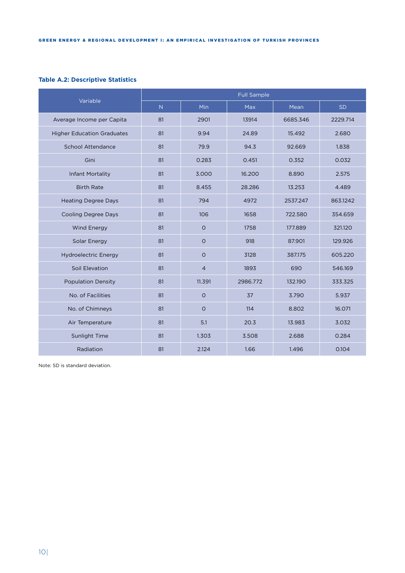### **Table A.2: Descriptive Statistics**

| Variable                          | <b>Full Sample</b> |                |          |          |           |  |  |  |  |
|-----------------------------------|--------------------|----------------|----------|----------|-----------|--|--|--|--|
|                                   | N                  | Min            | Max      | Mean     | <b>SD</b> |  |  |  |  |
| Average Income per Capita         | 81                 | 2901           | 13914    | 6685.346 | 2229.714  |  |  |  |  |
| <b>Higher Education Graduates</b> | 81                 | 9.94           | 24.89    | 15.492   | 2.680     |  |  |  |  |
| School Attendance                 | 81                 | 79.9           | 94.3     | 92.669   | 1.838     |  |  |  |  |
| Gini                              | 81                 | 0.283          | 0.451    | 0.352    | 0.032     |  |  |  |  |
| <b>Infant Mortality</b>           | 81                 | 3.000          | 16.200   | 8.890    | 2.575     |  |  |  |  |
| <b>Birth Rate</b>                 | 81                 | 8.455          | 28.286   | 13.253   | 4.489     |  |  |  |  |
| <b>Heating Degree Days</b>        | 81                 | 794            | 4972     | 2537.247 | 863.1242  |  |  |  |  |
| <b>Cooling Degree Days</b>        | 81                 | 106            | 1658     | 722.580  | 354.659   |  |  |  |  |
| <b>Wind Energy</b>                | 81                 | $\circ$        | 1758     | 177.889  | 321.120   |  |  |  |  |
| Solar Energy                      | 81                 | $\circ$        | 918      | 87.901   | 129.926   |  |  |  |  |
| <b>Hydroelectric Energy</b>       | 81                 | $\circ$        | 3128     | 387.175  | 605.220   |  |  |  |  |
| Soil Elevation                    | 81                 | $\overline{4}$ | 1893     | 690      | 546.169   |  |  |  |  |
| <b>Population Density</b>         | 81                 | 11.391         | 2986.772 | 132.190  | 333.325   |  |  |  |  |
| No. of Facilities                 | 81                 | $\circ$        | 37       | 3.790    | 5.937     |  |  |  |  |
| No. of Chimneys                   | 81                 | $\circ$        | 114      | 8.802    | 16.071    |  |  |  |  |
| Air Temperature                   | 81                 | 5.1            | 20.3     | 13.983   | 3.032     |  |  |  |  |
| Sunlight Time                     | 81                 | 1.303          | 3.508    | 2.688    | 0.284     |  |  |  |  |
| Radiation                         | 81                 | 2.124          | 1.66     | 1.496    | 0.104     |  |  |  |  |

Note: SD is standard deviation.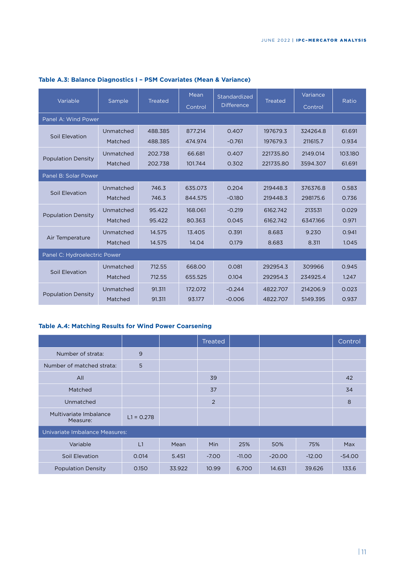| Variable                     |           |                | Mean    | Standardized      |                | Variance |         |  |
|------------------------------|-----------|----------------|---------|-------------------|----------------|----------|---------|--|
|                              | Sample    | <b>Treated</b> | Control | <b>Difference</b> | <b>Treated</b> | Control  | Ratio   |  |
| Panel A: Wind Power          |           |                |         |                   |                |          |         |  |
| Soil Elevation               | Unmatched | 488.385        | 877.214 | 0.407             | 197679.3       | 324264.8 | 61.691  |  |
|                              | Matched   | 488.385        | 474.974 | $-0.761$          | 197679.3       | 211615.7 | 0.934   |  |
| <b>Population Density</b>    | Unmatched | 202.738        | 66.681  | 0.407             | 221735.80      | 2149.014 | 103.180 |  |
|                              | Matched   | 202.738        | 101.744 | 0.302             | 221735.80      | 3594.307 | 61.691  |  |
| Panel B: Solar Power         |           |                |         |                   |                |          |         |  |
| Soil Elevation               | Unmatched | 746.3          | 635.073 | 0.204             | 219448.3       | 376376.8 | 0.583   |  |
|                              | Matched   | 746.3          | 844.575 | $-0.180$          | 219448.3       | 298175.6 | 0.736   |  |
|                              | Unmatched | 95.422         | 168,061 | $-0.219$          | 6162.742       | 213531   | 0.029   |  |
| <b>Population Density</b>    | Matched   | 95.422         | 80.363  | 0.045             | 6162.742       | 6347.166 | 0.971   |  |
|                              | Unmatched | 14.575         | 13.405  | 0.391             | 8.683          | 9.230    | 0.941   |  |
| Air Temperature              | Matched   | 14.575         | 14.04   | 0.179             | 8.683          | 8.311    | 1.045   |  |
| Panel C: Hydroelectric Power |           |                |         |                   |                |          |         |  |
| Soil Elevation               | Unmatched | 712.55         | 668.00  | 0.081             | 292954.3       | 309966   | 0.945   |  |
|                              | Matched   | 712.55         | 655.525 | 0.104             | 292954.3       | 234925.4 | 1.247   |  |
|                              | Unmatched | 91.311         | 172.072 | $-0.244$          | 4822.707       | 214206.9 | 0.023   |  |
| <b>Population Density</b>    | Matched   | 91.311         | 93.177  | $-0.006$          | 4822.707       | 5149.395 | 0.937   |  |

# **Table A.3: Balance Diagnostics I – PSM Covariates (Mean & Variance)**

## **Table A.4: Matching Results for Wind Power Coarsening**

|                                       |              |        | Treated        |          |          |          | Control  |  |  |
|---------------------------------------|--------------|--------|----------------|----------|----------|----------|----------|--|--|
| Number of strata:                     | 9            |        |                |          |          |          |          |  |  |
| Number of matched strata:             | 5            |        |                |          |          |          |          |  |  |
| All                                   |              |        | 39             |          |          |          | 42       |  |  |
| Matched                               |              |        | 37             |          |          |          | 34       |  |  |
| Unmatched                             |              |        | $\overline{2}$ |          |          |          | 8        |  |  |
| Multivariate Imbalance<br>Measure:    | $L1 = 0.278$ |        |                |          |          |          |          |  |  |
| <b>Univariate Imbalance Measures:</b> |              |        |                |          |          |          |          |  |  |
| Variable                              | L1           | Mean   | <b>Min</b>     | 25%      | 50%      | 75%      | Max      |  |  |
| Soil Elevation                        | 0.014        | 5.451  | $-7.00$        | $-11.00$ | $-20.00$ | $-12.00$ | $-54.00$ |  |  |
| <b>Population Density</b>             | 0.150        | 33.922 | 10.99          | 6.700    | 14.631   | 39.626   | 133.6    |  |  |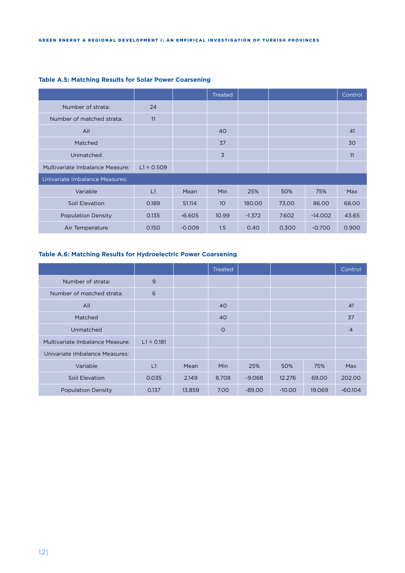|                                 |              |          | Treated |          |       |           | Control |
|---------------------------------|--------------|----------|---------|----------|-------|-----------|---------|
| Number of strata:               | 24           |          |         |          |       |           |         |
| Number of matched strata:       | 11           |          |         |          |       |           |         |
| All                             |              |          | 40      |          |       |           | 41      |
| Matched                         |              |          | 37      |          |       |           | 30      |
| Unmatched                       |              |          | 3       |          |       |           | 11      |
| Multivariate Imbalance Measure: | $L1 = 0.509$ |          |         |          |       |           |         |
| Univariate Imbalance Measures:  |              |          |         |          |       |           |         |
| Variable                        | L1           | Mean     | Min     | 25%      | 50%   | 75%       | Max     |
| Soil Elevation                  | 0.189        | 51.114   | 10      | 180.00   | 73.00 | 86.00     | 68.00   |
| <b>Population Density</b>       | 0.135        | $-6.605$ | 10.99   | $-1.372$ | 7.602 | $-14.002$ | 43.65   |
| Air Temperature                 | 0.150        | $-0.009$ | 1.5     | 0.40     | 0.300 | $-0.700$  | 0.900   |

### **Table A.5: Matching Results for Solar Power Coarsening**

### **Table A.6: Matching Results for Hydroelectric Power Coarsening**

|                                 |              |        | Treated    |          |          |        | Control        |
|---------------------------------|--------------|--------|------------|----------|----------|--------|----------------|
| Number of strata:               | 9            |        |            |          |          |        |                |
| Number of matched strata:       | 6            |        |            |          |          |        |                |
| All                             |              |        | 40         |          |          |        | 41             |
| Matched                         |              |        | 40         |          |          |        | 37             |
| Unmatched                       |              |        | $\circ$    |          |          |        | $\overline{4}$ |
| Multivariate Imbalance Measure: | $L1 = 0.181$ |        |            |          |          |        |                |
| Univariate Imbalance Measures:  |              |        |            |          |          |        |                |
| Variable                        | L1           | Mean   | <b>Min</b> | 25%      | 50%      | 75%    | Max            |
| Soil Elevation                  | 0.035        | 2.149  | 8.708      | $-9.068$ | 12.276   | 69.00  | 202.00         |
| <b>Population Density</b>       | 0.137        | 13.859 | 7.00       | $-89.00$ | $-10.00$ | 19.069 | $-60.104$      |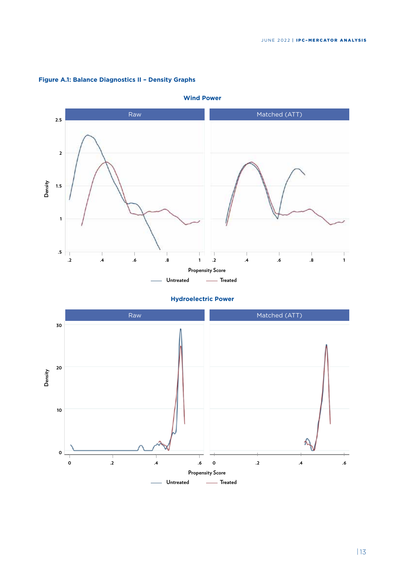

### **Figure A.1: Balance Diagnostics II – Density Graphs**





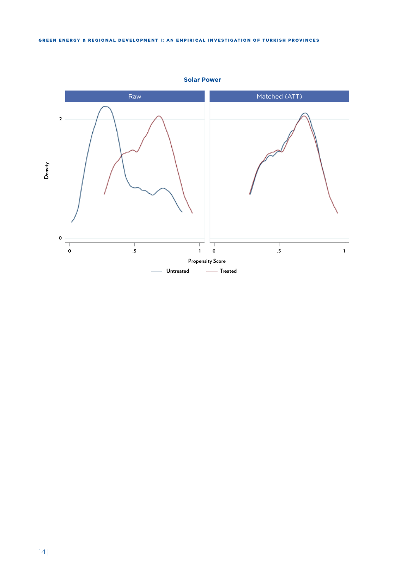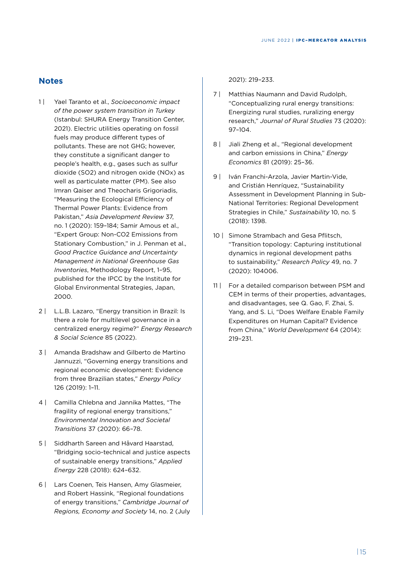## **Notes**

- 1 | Yael Taranto et al., *Socioeconomic impact of the power system transition in Turkey*  (Istanbul: SHURA Energy Transition Center, 2021). Electric utilities operating on fossil fuels may produce different types of pollutants. These are not GHG; however, they constitute a significant danger to people's health, e.g., gases such as sulfur dioxide (SO2) and nitrogen oxide (NOx) as well as particulate matter (PM). See also Imran Qaiser and Theocharis Grigoriadis, "Measuring the Ecological Efficiency of Thermal Power Plants: Evidence from Pakistan," *Asia Development Review* 37, no. 1 (2020): 159–184; Samir Amous et al., "Expert Group: Non-CO2 Emissions from Stationary Combustion," in J. Penman et al., *Good Practice Guidance and Uncertainty Management in National Greenhouse Gas Inventories*, Methodology Report, 1–95, published for the IPCC by the Institute for Global Environmental Strategies, Japan, 2000.
- 2 | L.L.B. Lazaro, "Energy transition in Brazil: Is there a role for multilevel governance in a centralized energy regime?" *Energy Research & Social Science* 85 (2022).
- 3 | Amanda Bradshaw and Gilberto de Martino Jannuzzi, "Governing energy transitions and regional economic development: Evidence from three Brazilian states," *Energy Policy*  126 (2019): 1–11.
- 4 | Camilla Chlebna and Jannika Mattes, "The fragility of regional energy transitions," *Environmental Innovation and Societal Transitions* 37 (2020): 66–78.
- 5 | Siddharth Sareen and Håvard Haarstad, "Bridging socio-technical and justice aspects of sustainable energy transitions," *Applied Energy* 228 (2018): 624–632.
- 6 | Lars Coenen, Teis Hansen, Amy Glasmeier, and Robert Hassink, "Regional foundations of energy transitions," *Cambridge Journal of Regions, Economy and Society* 14, no. 2 (July

### 2021): 219–233.

- 7 | Matthias Naumann and David Rudolph, "Conceptualizing rural energy transitions: Energizing rural studies, ruralizing energy research," *Journal of Rural Studies* 73 (2020): 97–104.
- 8 | Jiali Zheng et al., "Regional development and carbon emissions in China," *Energy Economics* 81 (2019): 25–36.
- 9 | Iván Franchi-Arzola, Javier Martin-Vide, and Cristián Henríquez, "Sustainability Assessment in Development Planning in Sub-National Territories: Regional Development Strategies in Chile," *Sustainability* 10, no. 5 (2018): 1398.
- 10 | Simone Strambach and Gesa Pflitsch. "Transition topology: Capturing institutional dynamics in regional development paths to sustainability," *Research Policy* 49, no. 7 (2020): 104006.
- 11 | For a detailed comparison between PSM and CEM in terms of their properties, advantages, and disadvantages, see Q. Gao, F. Zhai, S. Yang, and S. Li, "Does Welfare Enable Family Expenditures on Human Capital? Evidence from China," *World Development* 64 (2014): 219–231.